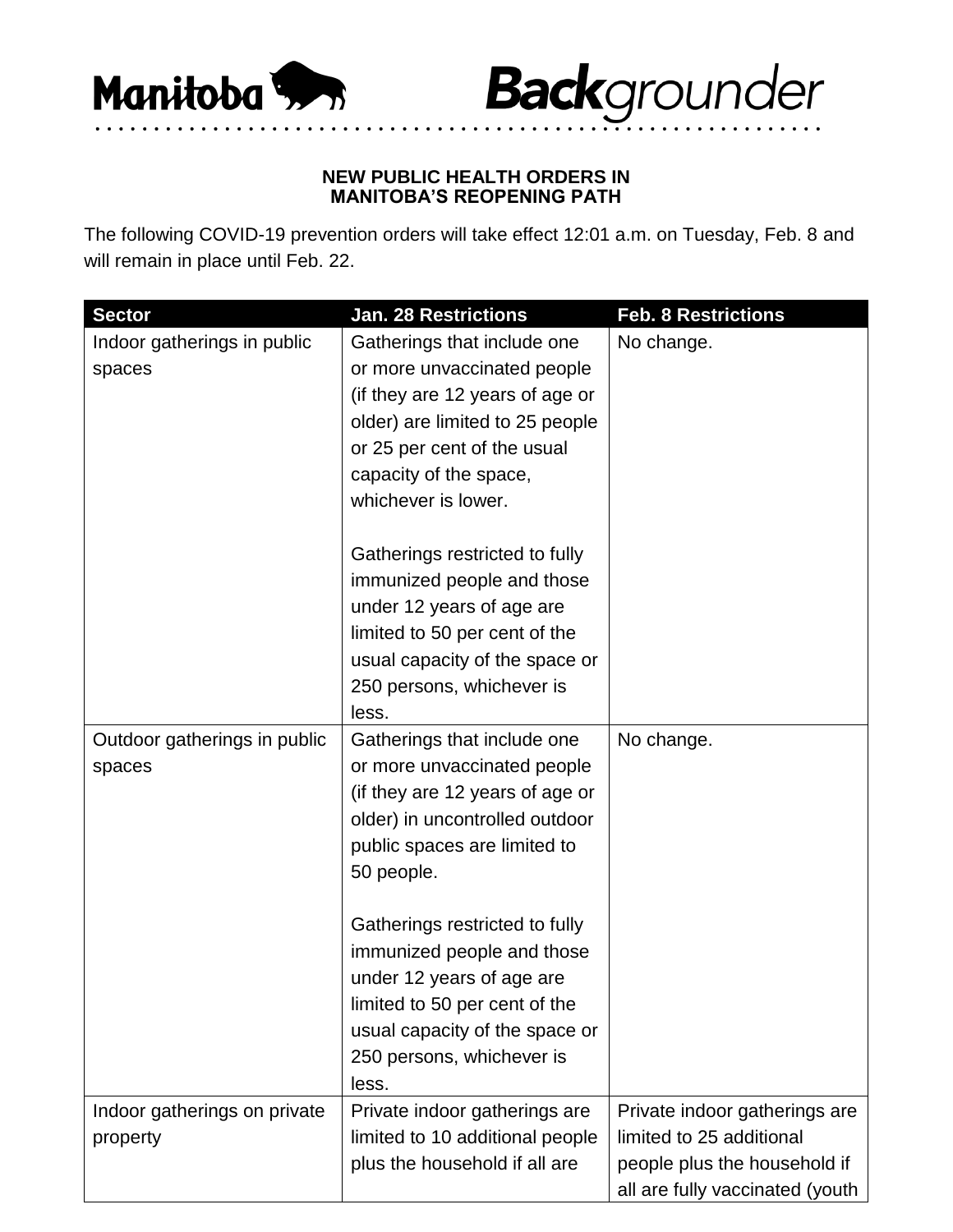



## **NEW PUBLIC HEALTH ORDERS IN MANITOBA'S REOPENING PATH**

• • • • • • • • • • • • • • • • • • • • • • • • • • • • • • • • • • • • • • • • • • • • • • • • • • • • • • • • • • • • • •

The following COVID-19 prevention orders will take effect 12:01 a.m. on Tuesday, Feb. 8 and will remain in place until Feb. 22.

| <b>Sector</b>                | <b>Jan. 28 Restrictions</b>     | <b>Feb. 8 Restrictions</b>      |
|------------------------------|---------------------------------|---------------------------------|
| Indoor gatherings in public  | Gatherings that include one     | No change.                      |
| spaces                       | or more unvaccinated people     |                                 |
|                              | (if they are 12 years of age or |                                 |
|                              | older) are limited to 25 people |                                 |
|                              | or 25 per cent of the usual     |                                 |
|                              | capacity of the space,          |                                 |
|                              | whichever is lower.             |                                 |
|                              | Gatherings restricted to fully  |                                 |
|                              | immunized people and those      |                                 |
|                              | under 12 years of age are       |                                 |
|                              | limited to 50 per cent of the   |                                 |
|                              | usual capacity of the space or  |                                 |
|                              | 250 persons, whichever is       |                                 |
|                              | less.                           |                                 |
| Outdoor gatherings in public | Gatherings that include one     | No change.                      |
| spaces                       | or more unvaccinated people     |                                 |
|                              | (if they are 12 years of age or |                                 |
|                              | older) in uncontrolled outdoor  |                                 |
|                              | public spaces are limited to    |                                 |
|                              | 50 people.                      |                                 |
|                              | Gatherings restricted to fully  |                                 |
|                              | immunized people and those      |                                 |
|                              | under 12 years of age are       |                                 |
|                              | limited to 50 per cent of the   |                                 |
|                              | usual capacity of the space or  |                                 |
|                              | 250 persons, whichever is       |                                 |
|                              | less.                           |                                 |
| Indoor gatherings on private | Private indoor gatherings are   | Private indoor gatherings are   |
| property                     | limited to 10 additional people | limited to 25 additional        |
|                              | plus the household if all are   | people plus the household if    |
|                              |                                 | all are fully vaccinated (youth |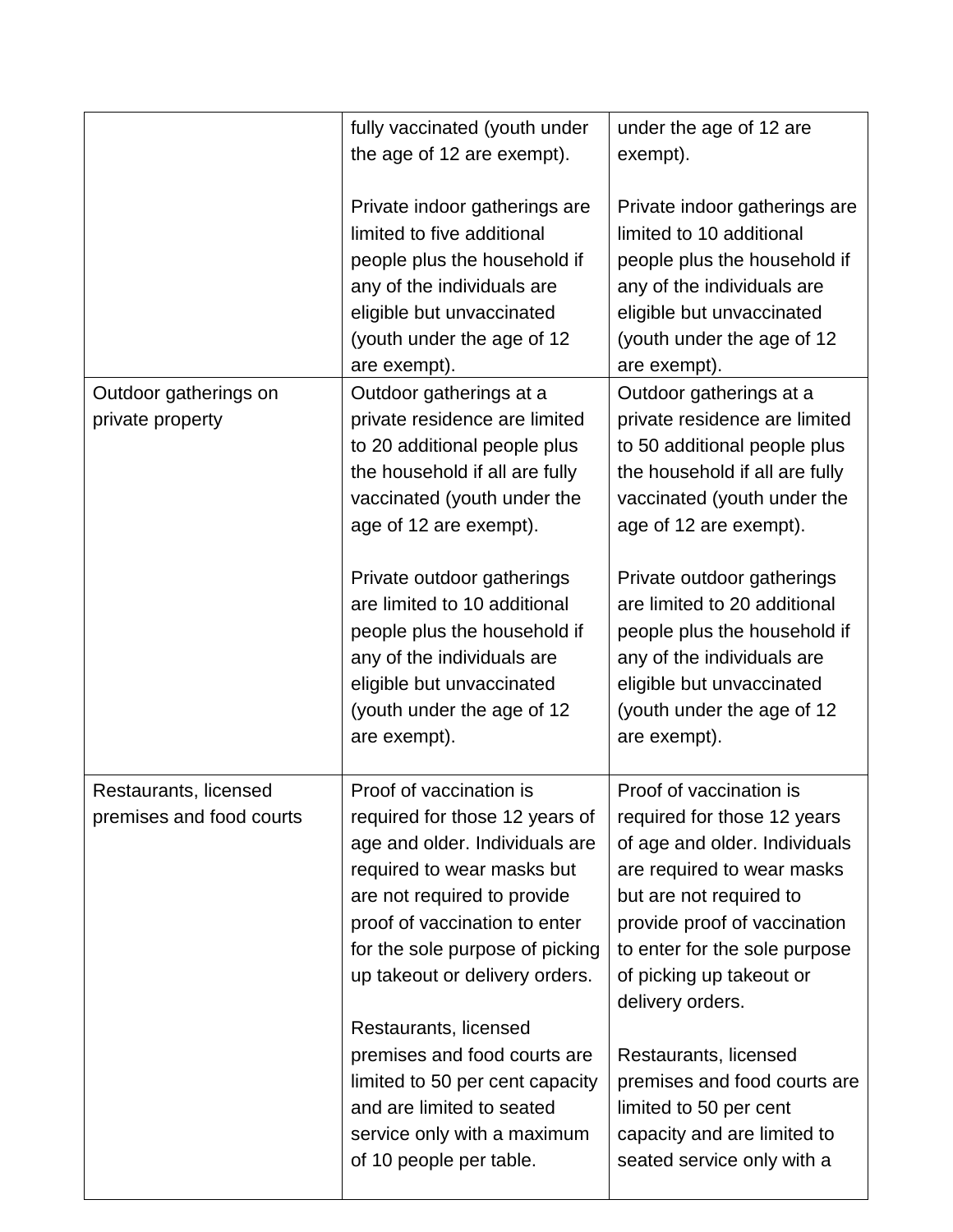|                                                   | fully vaccinated (youth under<br>the age of 12 are exempt).<br>Private indoor gatherings are<br>limited to five additional<br>people plus the household if<br>any of the individuals are<br>eligible but unvaccinated<br>(youth under the age of 12<br>are exempt).                                                                                                                                                                               | under the age of 12 are<br>exempt).<br>Private indoor gatherings are<br>limited to 10 additional<br>people plus the household if<br>any of the individuals are<br>eligible but unvaccinated<br>(youth under the age of 12<br>are exempt).                                                                                                                                                                         |
|---------------------------------------------------|---------------------------------------------------------------------------------------------------------------------------------------------------------------------------------------------------------------------------------------------------------------------------------------------------------------------------------------------------------------------------------------------------------------------------------------------------|-------------------------------------------------------------------------------------------------------------------------------------------------------------------------------------------------------------------------------------------------------------------------------------------------------------------------------------------------------------------------------------------------------------------|
| Outdoor gatherings on<br>private property         | Outdoor gatherings at a<br>private residence are limited<br>to 20 additional people plus<br>the household if all are fully<br>vaccinated (youth under the<br>age of 12 are exempt).<br>Private outdoor gatherings<br>are limited to 10 additional<br>people plus the household if<br>any of the individuals are<br>eligible but unvaccinated<br>(youth under the age of 12<br>are exempt).                                                        | Outdoor gatherings at a<br>private residence are limited<br>to 50 additional people plus<br>the household if all are fully<br>vaccinated (youth under the<br>age of 12 are exempt).<br>Private outdoor gatherings<br>are limited to 20 additional<br>people plus the household if<br>any of the individuals are<br>eligible but unvaccinated<br>(youth under the age of 12<br>are exempt).                        |
| Restaurants, licensed<br>premises and food courts | Proof of vaccination is<br>required for those 12 years of<br>age and older. Individuals are<br>required to wear masks but<br>are not required to provide<br>proof of vaccination to enter<br>for the sole purpose of picking<br>up takeout or delivery orders.<br>Restaurants, licensed<br>premises and food courts are<br>limited to 50 per cent capacity<br>and are limited to seated<br>service only with a maximum<br>of 10 people per table. | Proof of vaccination is<br>required for those 12 years<br>of age and older. Individuals<br>are required to wear masks<br>but are not required to<br>provide proof of vaccination<br>to enter for the sole purpose<br>of picking up takeout or<br>delivery orders.<br>Restaurants, licensed<br>premises and food courts are<br>limited to 50 per cent<br>capacity and are limited to<br>seated service only with a |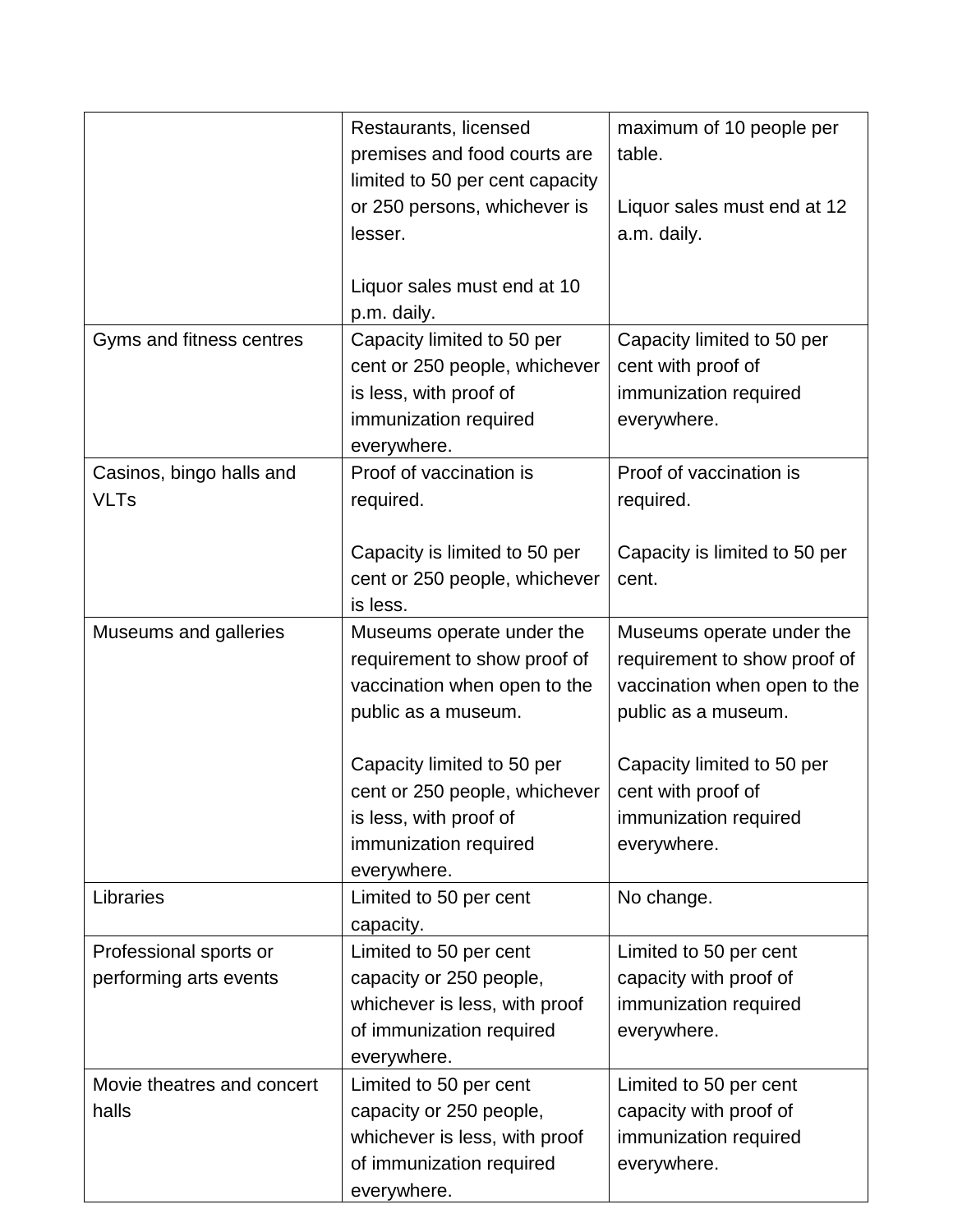|                                                  | Restaurants, licensed<br>premises and food courts are<br>limited to 50 per cent capacity<br>or 250 persons, whichever is<br>lesser.            | maximum of 10 people per<br>table.<br>Liquor sales must end at 12<br>a.m. daily.                                                               |
|--------------------------------------------------|------------------------------------------------------------------------------------------------------------------------------------------------|------------------------------------------------------------------------------------------------------------------------------------------------|
|                                                  | Liquor sales must end at 10<br>p.m. daily.                                                                                                     |                                                                                                                                                |
| Gyms and fitness centres                         | Capacity limited to 50 per<br>cent or 250 people, whichever<br>is less, with proof of<br>immunization required<br>everywhere.                  | Capacity limited to 50 per<br>cent with proof of<br>immunization required<br>everywhere.                                                       |
| Casinos, bingo halls and<br><b>VLTs</b>          | Proof of vaccination is<br>required.                                                                                                           | Proof of vaccination is<br>required.                                                                                                           |
|                                                  | Capacity is limited to 50 per<br>cent or 250 people, whichever<br>is less.                                                                     | Capacity is limited to 50 per<br>cent.                                                                                                         |
| Museums and galleries                            | Museums operate under the<br>requirement to show proof of<br>vaccination when open to the<br>public as a museum.<br>Capacity limited to 50 per | Museums operate under the<br>requirement to show proof of<br>vaccination when open to the<br>public as a museum.<br>Capacity limited to 50 per |
|                                                  | cent or 250 people, whichever<br>is less, with proof of<br>immunization required<br>everywhere.                                                | cent with proof of<br>immunization required<br>everywhere.                                                                                     |
| Libraries                                        | Limited to 50 per cent<br>capacity.                                                                                                            | No change.                                                                                                                                     |
| Professional sports or<br>performing arts events | Limited to 50 per cent<br>capacity or 250 people,<br>whichever is less, with proof<br>of immunization required<br>everywhere.                  | Limited to 50 per cent<br>capacity with proof of<br>immunization required<br>everywhere.                                                       |
| Movie theatres and concert<br>halls              | Limited to 50 per cent<br>capacity or 250 people,<br>whichever is less, with proof<br>of immunization required<br>everywhere.                  | Limited to 50 per cent<br>capacity with proof of<br>immunization required<br>everywhere.                                                       |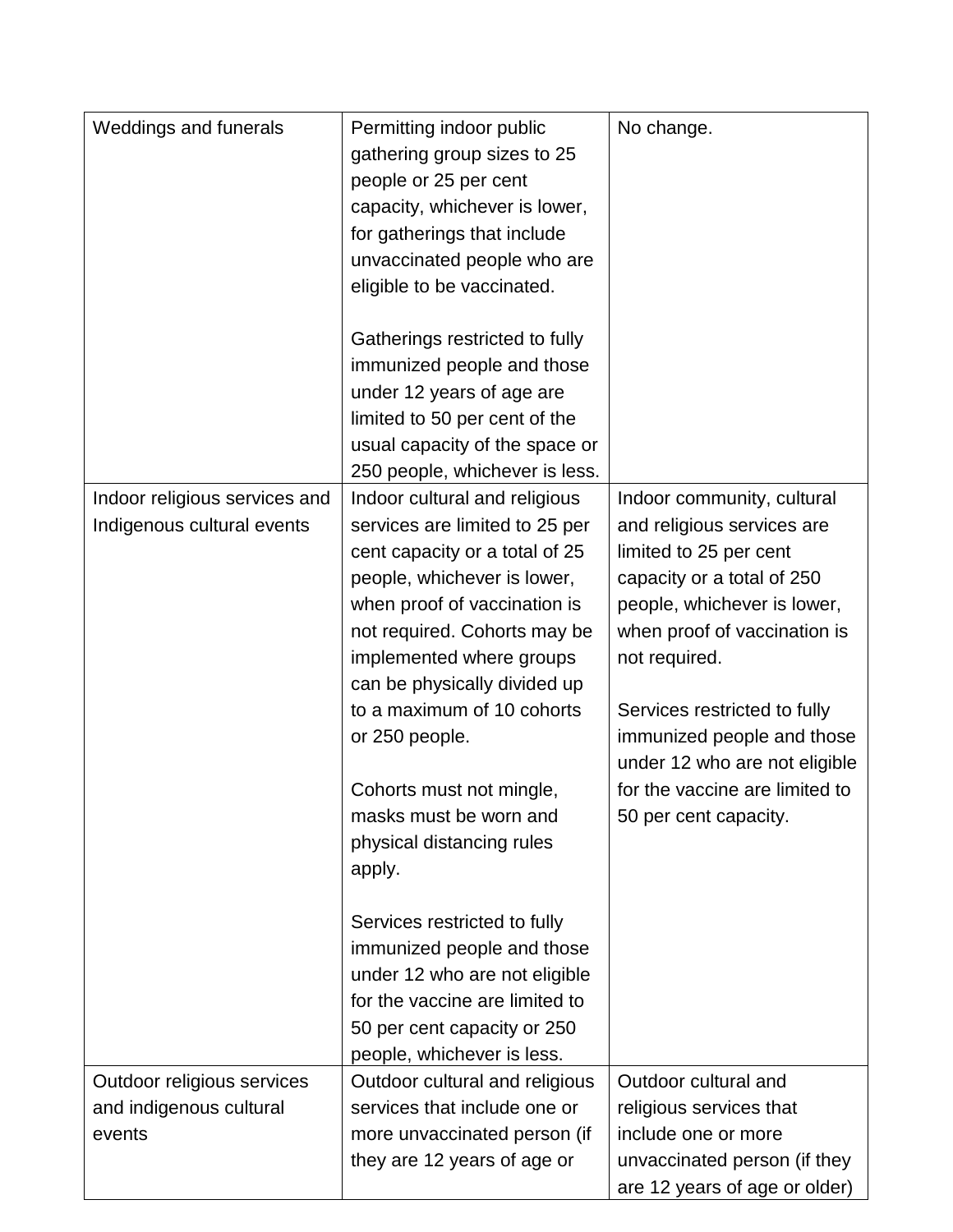| Weddings and funerals                                           | Permitting indoor public<br>gathering group sizes to 25<br>people or 25 per cent<br>capacity, whichever is lower,<br>for gatherings that include<br>unvaccinated people who are<br>eligible to be vaccinated.<br>Gatherings restricted to fully<br>immunized people and those<br>under 12 years of age are<br>limited to 50 per cent of the<br>usual capacity of the space or<br>250 people, whichever is less.                                                                                          | No change.                                                                                                                                                                                                                                                                                                                                                 |
|-----------------------------------------------------------------|----------------------------------------------------------------------------------------------------------------------------------------------------------------------------------------------------------------------------------------------------------------------------------------------------------------------------------------------------------------------------------------------------------------------------------------------------------------------------------------------------------|------------------------------------------------------------------------------------------------------------------------------------------------------------------------------------------------------------------------------------------------------------------------------------------------------------------------------------------------------------|
| Indoor religious services and<br>Indigenous cultural events     | Indoor cultural and religious<br>services are limited to 25 per<br>cent capacity or a total of 25<br>people, whichever is lower,<br>when proof of vaccination is<br>not required. Cohorts may be<br>implemented where groups<br>can be physically divided up<br>to a maximum of 10 cohorts<br>or 250 people.<br>Cohorts must not mingle,<br>masks must be worn and<br>physical distancing rules<br>apply.<br>Services restricted to fully<br>immunized people and those<br>under 12 who are not eligible | Indoor community, cultural<br>and religious services are<br>limited to 25 per cent<br>capacity or a total of 250<br>people, whichever is lower,<br>when proof of vaccination is<br>not required.<br>Services restricted to fully<br>immunized people and those<br>under 12 who are not eligible<br>for the vaccine are limited to<br>50 per cent capacity. |
|                                                                 | for the vaccine are limited to<br>50 per cent capacity or 250<br>people, whichever is less.                                                                                                                                                                                                                                                                                                                                                                                                              |                                                                                                                                                                                                                                                                                                                                                            |
| Outdoor religious services<br>and indigenous cultural<br>events | Outdoor cultural and religious<br>services that include one or<br>more unvaccinated person (if<br>they are 12 years of age or                                                                                                                                                                                                                                                                                                                                                                            | Outdoor cultural and<br>religious services that<br>include one or more<br>unvaccinated person (if they<br>are 12 years of age or older)                                                                                                                                                                                                                    |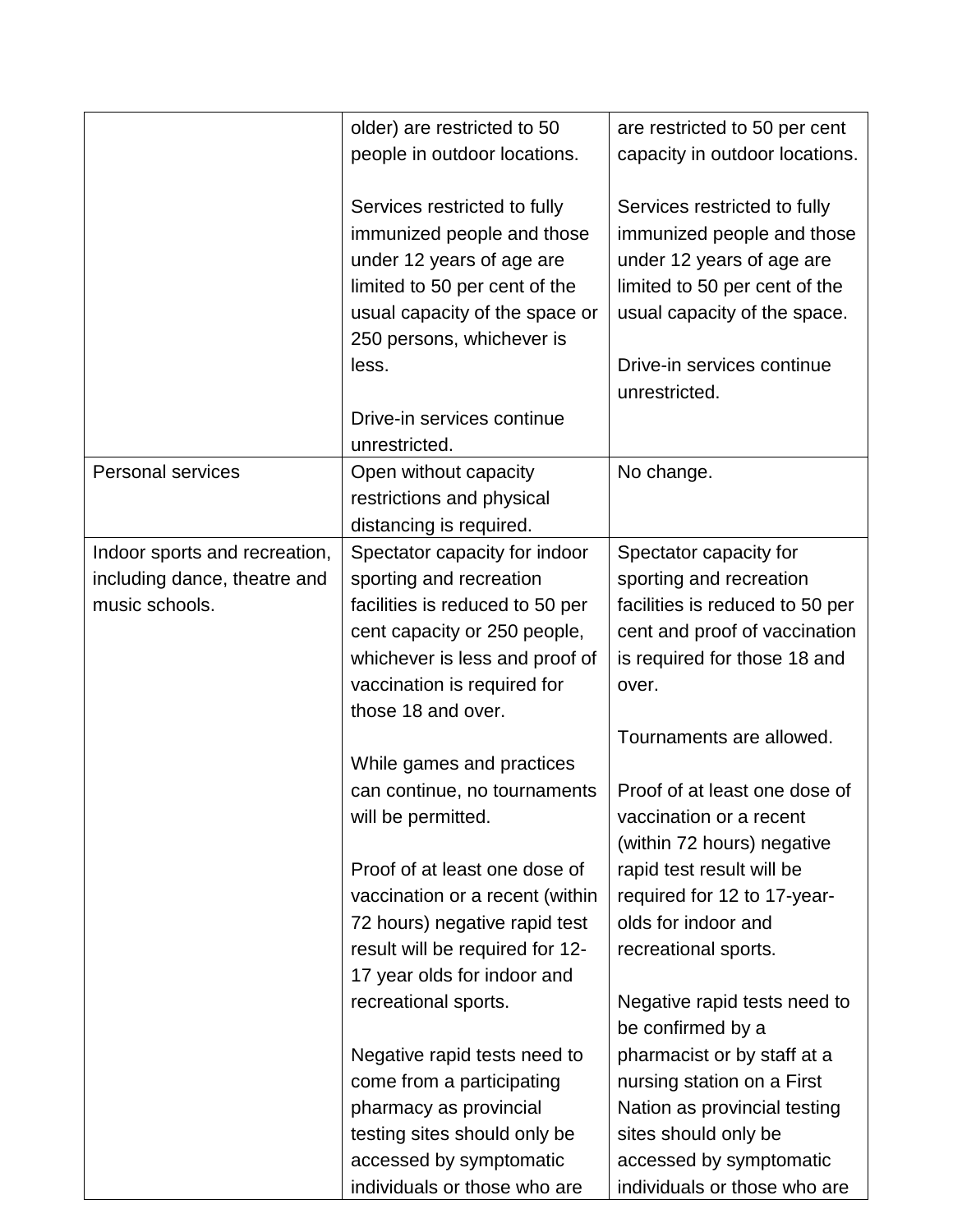|                               | older) are restricted to 50     | are restricted to 50 per cent   |
|-------------------------------|---------------------------------|---------------------------------|
|                               | people in outdoor locations.    | capacity in outdoor locations.  |
|                               |                                 |                                 |
|                               | Services restricted to fully    | Services restricted to fully    |
|                               | immunized people and those      | immunized people and those      |
|                               | under 12 years of age are       | under 12 years of age are       |
|                               | limited to 50 per cent of the   | limited to 50 per cent of the   |
|                               | usual capacity of the space or  | usual capacity of the space.    |
|                               | 250 persons, whichever is       |                                 |
|                               | less.                           | Drive-in services continue      |
|                               |                                 | unrestricted.                   |
|                               | Drive-in services continue      |                                 |
|                               | unrestricted.                   |                                 |
| <b>Personal services</b>      | Open without capacity           | No change.                      |
|                               | restrictions and physical       |                                 |
|                               | distancing is required.         |                                 |
| Indoor sports and recreation, | Spectator capacity for indoor   | Spectator capacity for          |
| including dance, theatre and  | sporting and recreation         | sporting and recreation         |
| music schools.                | facilities is reduced to 50 per | facilities is reduced to 50 per |
|                               | cent capacity or 250 people,    | cent and proof of vaccination   |
|                               | whichever is less and proof of  | is required for those 18 and    |
|                               | vaccination is required for     | over.                           |
|                               | those 18 and over.              |                                 |
|                               |                                 | Tournaments are allowed.        |
|                               | While games and practices       |                                 |
|                               | can continue, no tournaments    | Proof of at least one dose of   |
|                               | will be permitted.              | vaccination or a recent         |
|                               |                                 | (within 72 hours) negative      |
|                               | Proof of at least one dose of   | rapid test result will be       |
|                               | vaccination or a recent (within | required for 12 to 17-year-     |
|                               | 72 hours) negative rapid test   | olds for indoor and             |
|                               | result will be required for 12- | recreational sports.            |
|                               | 17 year olds for indoor and     |                                 |
|                               | recreational sports.            | Negative rapid tests need to    |
|                               |                                 | be confirmed by a               |
|                               | Negative rapid tests need to    | pharmacist or by staff at a     |
|                               | come from a participating       | nursing station on a First      |
|                               | pharmacy as provincial          | Nation as provincial testing    |
|                               | testing sites should only be    | sites should only be            |
|                               | accessed by symptomatic         | accessed by symptomatic         |
|                               | individuals or those who are    | individuals or those who are    |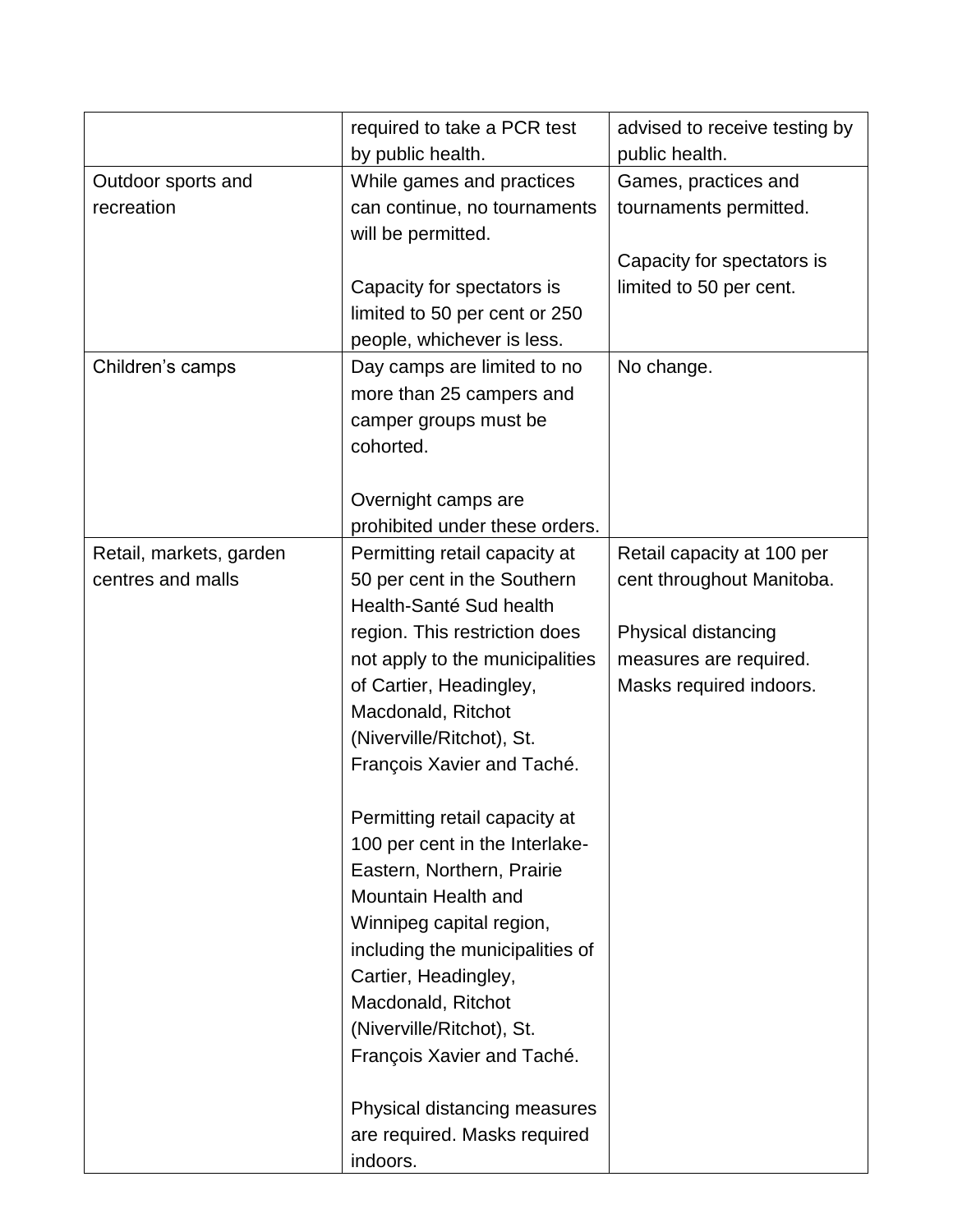|                         | required to take a PCR test     | advised to receive testing by |
|-------------------------|---------------------------------|-------------------------------|
|                         | by public health.               | public health.                |
| Outdoor sports and      | While games and practices       | Games, practices and          |
| recreation              | can continue, no tournaments    | tournaments permitted.        |
|                         | will be permitted.              |                               |
|                         |                                 | Capacity for spectators is    |
|                         | Capacity for spectators is      | limited to 50 per cent.       |
|                         | limited to 50 per cent or 250   |                               |
|                         | people, whichever is less.      |                               |
| Children's camps        | Day camps are limited to no     | No change.                    |
|                         | more than 25 campers and        |                               |
|                         | camper groups must be           |                               |
|                         | cohorted.                       |                               |
|                         |                                 |                               |
|                         | Overnight camps are             |                               |
|                         | prohibited under these orders.  |                               |
| Retail, markets, garden | Permitting retail capacity at   | Retail capacity at 100 per    |
| centres and malls       | 50 per cent in the Southern     | cent throughout Manitoba.     |
|                         | Health-Santé Sud health         |                               |
|                         | region. This restriction does   | Physical distancing           |
|                         | not apply to the municipalities | measures are required.        |
|                         | of Cartier, Headingley,         | Masks required indoors.       |
|                         | Macdonald, Ritchot              |                               |
|                         | (Niverville/Ritchot), St.       |                               |
|                         | François Xavier and Taché.      |                               |
|                         | Permitting retail capacity at   |                               |
|                         | 100 per cent in the Interlake-  |                               |
|                         | Eastern, Northern, Prairie      |                               |
|                         | Mountain Health and             |                               |
|                         | Winnipeg capital region,        |                               |
|                         | including the municipalities of |                               |
|                         | Cartier, Headingley,            |                               |
|                         | Macdonald, Ritchot              |                               |
|                         | (Niverville/Ritchot), St.       |                               |
|                         | François Xavier and Taché.      |                               |
|                         | Physical distancing measures    |                               |
|                         | are required. Masks required    |                               |
|                         | indoors.                        |                               |